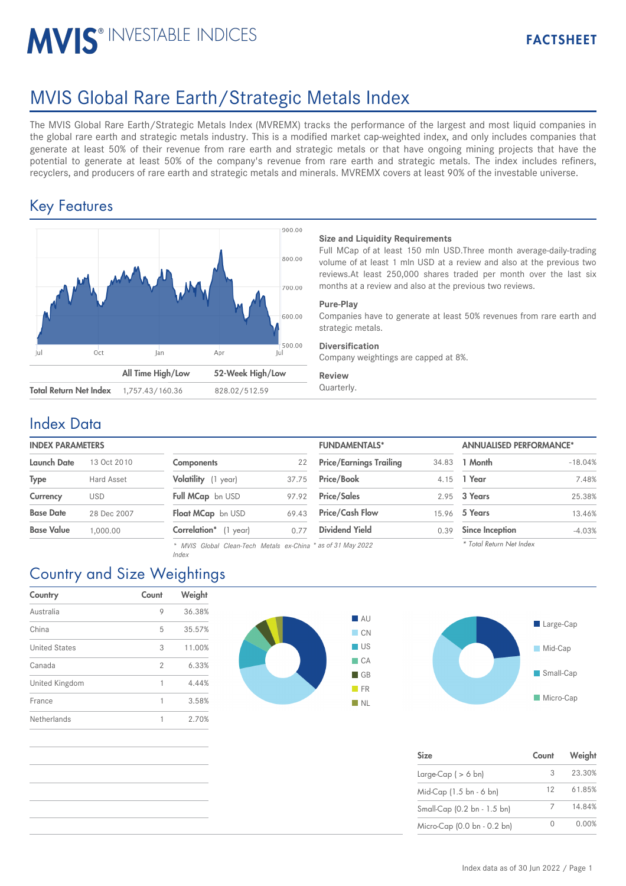# MVIS<sup>®</sup> INVESTABLE INDICES

# MVIS Global Rare Earth/Strategic Metals Index

The MVIS Global Rare Earth/Strategic Metals Index (MVREMX) tracks the performance of the largest and most liquid companies in the global rare earth and strategic metals industry. This is a modified market cap-weighted index, and only includes companies that generate at least 50% of their revenue from rare earth and strategic metals or that have ongoing mining projects that have the potential to generate at least 50% of the company's revenue from rare earth and strategic metals. The index includes refiners, recyclers, and producers of rare earth and strategic metals and minerals. MVREMX covers at least 90% of the investable universe.

## Key Features



#### **Size and Liquidity Requirements**

Full MCap of at least 150 mln USD.Three month average-daily-trading volume of at least 1 mln USD at a review and also at the previous two reviews.At least 250,000 shares traded per month over the last six months at a review and also at the previous two reviews.

#### **Pure-Play**

Companies have to generate at least 50% revenues from rare earth and strategic metals.

#### **Diversification**

Company weightings are capped at 8%.

#### **Review**

## Index Data

| <b>INDEX PARAMETERS</b> |                                          |                                | <b>FUNDAMENTALS*</b> |                        |  |
|-------------------------|------------------------------------------|--------------------------------|----------------------|------------------------|--|
| <b>Components</b>       | 22                                       | <b>Price/Earnings Trailing</b> | 34.83                | 1 Month                |  |
| Volatility (1 year)     | 37.75                                    | Price/Book                     | 4.15                 | 1 Year                 |  |
| Full MCap bn USD        | 97.92                                    | <b>Price/Sales</b>             |                      | 2.95 3 Years           |  |
|                         | 69.43                                    | <b>Price/Cash Flow</b>         | 15.96                | 5 Years                |  |
| Correlation*            | 0.77                                     | <b>Dividend Yield</b>          | 0.39                 | <b>Since Inception</b> |  |
|                         | 13 Oct 2010<br>Hard Asset<br>28 Dec 2007 | Float MCap bn USD<br>year)     |                      |                        |  |

| <b>Components</b>     | 22    |
|-----------------------|-------|
| Volatility (1 year)   | 37.75 |
| Full MCap bn USD      | 97.92 |
| Float MCap bn USD     | 69.43 |
| Correlation* (1 year) | 0.77  |

*\* MVIS Global Clean-Tech Metals ex-China \* as of 31 May 2022 Index*

| <b>INDEX PARAMETERS</b> |             |                       |       | <b>FUNDAMENTALS*</b>           |       | <b>ANNUALISED PERFORMANCE*</b> |           |
|-------------------------|-------------|-----------------------|-------|--------------------------------|-------|--------------------------------|-----------|
| Launch Date             | 13 Oct 2010 | <b>Components</b>     | 22    | <b>Price/Earnings Trailing</b> | 34.83 | 1 Month                        | $-18.04%$ |
| Type                    | Hard Asset  | Volatility (1 year)   | 37.75 | <b>Price/Book</b>              |       | 4.15 1 Year                    | 7.48%     |
| Currency                | <b>USD</b>  | Full MCap bn USD      | 97.92 | <b>Price/Sales</b>             |       | 2.95 3 Years                   | 25.38%    |
| <b>Base Date</b>        | 28 Dec 2007 | Float MCap bn USD     | 69.43 | <b>Price/Cash Flow</b>         | 15.96 | 5 Years                        | 13.46%    |
| Base Value              | 1.000.00    | Correlation* (1 year) | 0.77  | <b>Dividend Yield</b>          | 0.39  | <b>Since Inception</b>         | $-4.03%$  |
|                         |             |                       |       |                                |       |                                |           |

*\* Total Return Net Index*

## Country and Size Weightings

| Country              | Count | Weight |
|----------------------|-------|--------|
| Australia            | 9     | 36.38% |
| China                | 5     | 35.57% |
| <b>United States</b> | 3     | 11.00% |
| Canada               | 2     | 6.33%  |
| United Kingdom       | 1     | 4.44%  |
| France               | 1     | 3.58%  |
| Netherlands          | 1     | 2.70%  |
|                      |       |        |





| <b>Size</b>                 | Count | Weight |
|-----------------------------|-------|--------|
| Large-Cap $( > 6$ bn)       | 3     | 23.30% |
| Mid-Cap (1.5 bn - 6 bn)     | 12    | 61.85% |
| Small-Cap (0.2 bn - 1.5 bn) | 7     | 14.84% |
| Micro-Cap (0.0 bn - 0.2 bn) |       | 0.00%  |